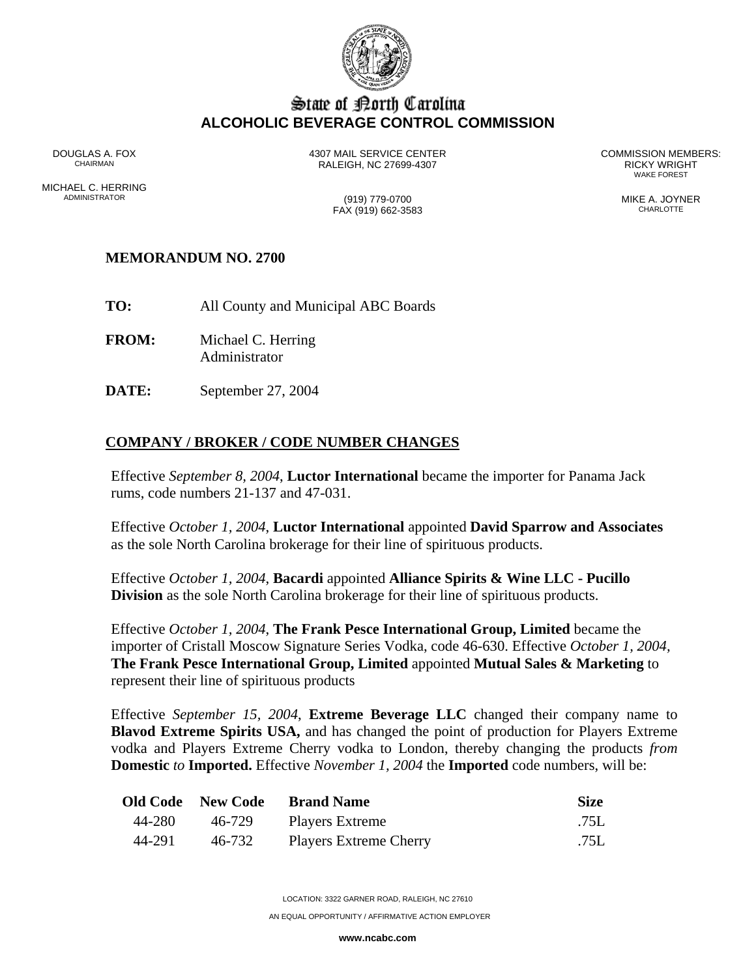

## State of Borth Carolina **ALCOHOLIC BEVERAGE CONTROL COMMISSION**

DOUGLAS A. FOX 4307 MAIL SERVICE CENTER COMMISSION MEMBERS: RALEIGH, NC 27699-4307<br>WAKE FOREST

WAKE FOREST

ADMINISTRATOR (919) 779-0700 MIKE A. JOYNER

MICHAEL C. HERRING<br>ADMINISTRATOR

 $FAX (919) 662-3583$ 

## **MEMORANDUM NO. 2700**

- **TO:** All County and Municipal ABC Boards
- **FROM:** Michael C. Herring Administrator
- **DATE:** September 27, 2004

## **COMPANY / BROKER / CODE NUMBER CHANGES**

Effective *September 8, 2004*, **Luctor International** became the importer for Panama Jack rums, code numbers 21-137 and 47-031.

Effective *October 1, 2004*, **Luctor International** appointed **David Sparrow and Associates** as the sole North Carolina brokerage for their line of spirituous products.

Effective *October 1, 2004*, **Bacardi** appointed **Alliance Spirits & Wine LLC - Pucillo Division** as the sole North Carolina brokerage for their line of spirituous products.

Effective *October 1, 2004*, **The Frank Pesce International Group, Limited** became the importer of Cristall Moscow Signature Series Vodka, code 46-630. Effective *October 1, 2004,*  **The Frank Pesce International Group, Limited** appointed **Mutual Sales & Marketing** to represent their line of spirituous products

Effective *September 15, 2004*, **Extreme Beverage LLC** changed their company name to **Blavod Extreme Spirits USA,** and has changed the point of production for Players Extreme vodka and Players Extreme Cherry vodka to London, thereby changing the products *from* **Domestic** *to* **Imported.** Effective *November 1, 2004* the **Imported** code numbers, will be:

|        | <b>Old Code</b> New Code | <b>Brand Name</b>             | <b>Size</b> |
|--------|--------------------------|-------------------------------|-------------|
| 44-280 |                          | 46-729 Players Extreme        | .75L        |
| 44-291 | 46-732                   | <b>Players Extreme Cherry</b> | .75L        |

LOCATION: 3322 GARNER ROAD, RALEIGH, NC 27610

AN EQUAL OPPORTUNITY / AFFIRMATIVE ACTION EMPLOYER

**www.ncabc.com**